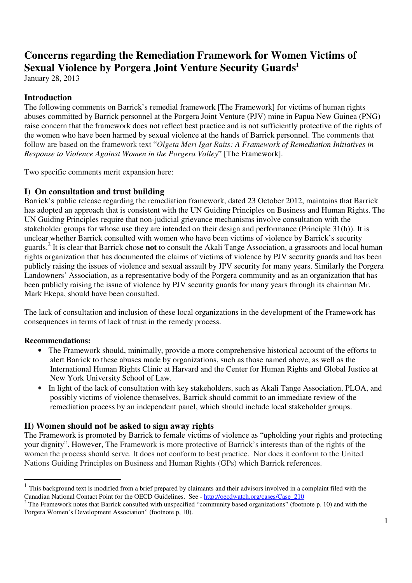# **Concerns regarding the Remediation Framework for Women Victims of Sexual Violence by Porgera Joint Venture Security Guards<sup>1</sup>**

January 28, 2013

# **Introduction**

The following comments on Barrick's remedial framework [The Framework] for victims of human rights abuses committed by Barrick personnel at the Porgera Joint Venture (PJV) mine in Papua New Guinea (PNG) raise concern that the framework does not reflect best practice and is not sufficiently protective of the rights of the women who have been harmed by sexual violence at the hands of Barrick personnel. The comments that follow are based on the framework text "*Olgeta Meri Igat Raits: A Framework of Remediation Initiatives in Response to Violence Against Women in the Porgera Valley*" [The Framework].

Two specific comments merit expansion here:

# **I) On consultation and trust building**

Barrick's public release regarding the remediation framework, dated 23 October 2012, maintains that Barrick has adopted an approach that is consistent with the UN Guiding Principles on Business and Human Rights. The UN Guiding Principles require that non-judicial grievance mechanisms involve consultation with the stakeholder groups for whose use they are intended on their design and performance (Principle 31(h)). It is unclear whether Barrick consulted with women who have been victims of violence by Barrick's security guards.<sup>2</sup> It is clear that Barrick chose **not** to consult the Akali Tange Association, a grassroots and local human rights organization that has documented the claims of victims of violence by PJV security guards and has been publicly raising the issues of violence and sexual assault by JPV security for many years. Similarly the Porgera Landowners' Association, as a representative body of the Porgera community and as an organization that has been publicly raising the issue of violence by PJV security guards for many years through its chairman Mr. Mark Ekepa, should have been consulted.

The lack of consultation and inclusion of these local organizations in the development of the Framework has consequences in terms of lack of trust in the remedy process.

### **Recommendations:**

- The Framework should, minimally, provide a more comprehensive historical account of the efforts to alert Barrick to these abuses made by organizations, such as those named above, as well as the International Human Rights Clinic at Harvard and the Center for Human Rights and Global Justice at New York University School of Law.
- In light of the lack of consultation with key stakeholders, such as Akali Tange Association, PLOA, and possibly victims of violence themselves, Barrick should commit to an immediate review of the remediation process by an independent panel, which should include local stakeholder groups.

### **II) Women should not be asked to sign away rights**

The Framework is promoted by Barrick to female victims of violence as "upholding your rights and protecting your dignity". However, The Framework is more protective of Barrick's interests than of the rights of the women the process should serve. It does not conform to best practice. Nor does it conform to the United Nations Guiding Principles on Business and Human Rights (GPs) which Barrick references.

<sup>&</sup>lt;sup>1</sup> This background text is modified from a brief prepared by claimants and their advisors involved in a complaint filed with the Canadian National Contact Point for the OECD Guidelines. See - http://oecdwatch.org/cases/Case\_210

 $2^2$  The Framework notes that Barrick consulted with unspecified "community based organizations" (footnote p. 10) and with the Porgera Women's Development Association" (footnote p, 10).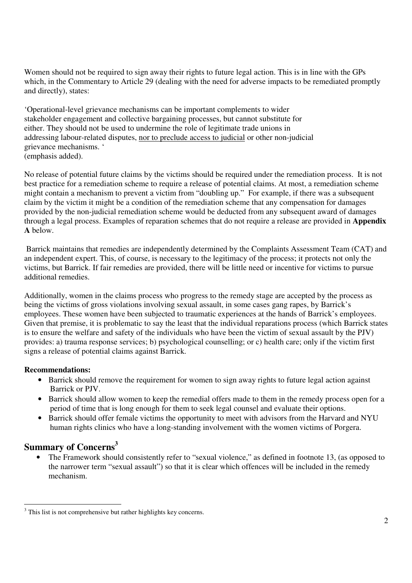Women should not be required to sign away their rights to future legal action. This is in line with the GPs which, in the Commentary to Article 29 (dealing with the need for adverse impacts to be remediated promptly and directly), states:

'Operational-level grievance mechanisms can be important complements to wider stakeholder engagement and collective bargaining processes, but cannot substitute for either. They should not be used to undermine the role of legitimate trade unions in addressing labour-related disputes, nor to preclude access to judicial or other non-judicial grievance mechanisms. ' (emphasis added).

No release of potential future claims by the victims should be required under the remediation process. It is not best practice for a remediation scheme to require a release of potential claims. At most, a remediation scheme might contain a mechanism to prevent a victim from "doubling up." For example, if there was a subsequent claim by the victim it might be a condition of the remediation scheme that any compensation for damages provided by the non-judicial remediation scheme would be deducted from any subsequent award of damages through a legal process. Examples of reparation schemes that do not require a release are provided in **Appendix A** below.

 Barrick maintains that remedies are independently determined by the Complaints Assessment Team (CAT) and an independent expert. This, of course, is necessary to the legitimacy of the process; it protects not only the victims, but Barrick. If fair remedies are provided, there will be little need or incentive for victims to pursue additional remedies.

Additionally, women in the claims process who progress to the remedy stage are accepted by the process as being the victims of gross violations involving sexual assault, in some cases gang rapes, by Barrick's employees. These women have been subjected to traumatic experiences at the hands of Barrick's employees. Given that premise, it is problematic to say the least that the individual reparations process (which Barrick states is to ensure the welfare and safety of the individuals who have been the victim of sexual assault by the PJV) provides: a) trauma response services; b) psychological counselling; or c) health care; only if the victim first signs a release of potential claims against Barrick.

#### **Recommendations:**

- Barrick should remove the requirement for women to sign away rights to future legal action against Barrick or PJV.
- Barrick should allow women to keep the remedial offers made to them in the remedy process open for a period of time that is long enough for them to seek legal counsel and evaluate their options.
- Barrick should offer female victims the opportunity to meet with advisors from the Harvard and NYU human rights clinics who have a long-standing involvement with the women victims of Porgera.

# **Summary of Concerns<sup>3</sup>**

The Framework should consistently refer to "sexual violence," as defined in footnote 13, (as opposed to the narrower term "sexual assault") so that it is clear which offences will be included in the remedy mechanism.

 $\overline{a}$ <sup>3</sup> This list is not comprehensive but rather highlights key concerns.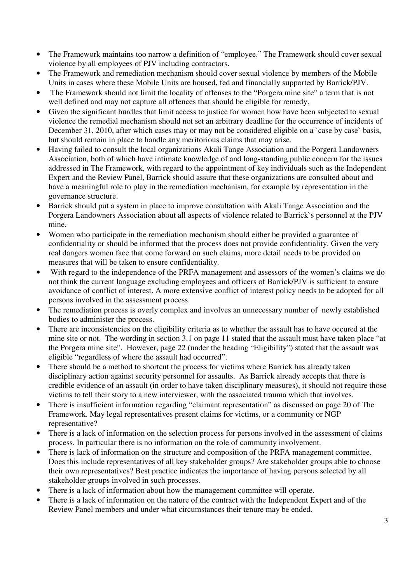- The Framework maintains too narrow a definition of "employee." The Framework should cover sexual violence by all employees of PJV including contractors.
- The Framework and remediation mechanism should cover sexual violence by members of the Mobile Units in cases where these Mobile Units are housed, fed and financially supported by Barrick/PJV.
- The Framework should not limit the locality of offenses to the "Porgera mine site" a term that is not well defined and may not capture all offences that should be eligible for remedy.
- Given the significant hurdles that limit access to justice for women how have been subjected to sexual violence the remedial mechanism should not set an arbitrary deadline for the occurrence of incidents of December 31, 2010, after which cases may or may not be considered eligible on a 'case by case' basis, but should remain in place to handle any meritorious claims that may arise.
- Having failed to consult the local organizations Akali Tange Association and the Porgera Landowners Association, both of which have intimate knowledge of and long-standing public concern for the issues addressed in The Framework, with regard to the appointment of key individuals such as the Independent Expert and the Review Panel, Barrick should assure that these organizations are consulted about and have a meaningful role to play in the remediation mechanism, for example by representation in the governance structure.
- Barrick should put a system in place to improve consultation with Akali Tange Association and the Porgera Landowners Association about all aspects of violence related to Barrick`s personnel at the PJV mine.
- Women who participate in the remediation mechanism should either be provided a guarantee of confidentiality or should be informed that the process does not provide confidentiality. Given the very real dangers women face that come forward on such claims, more detail needs to be provided on measures that will be taken to ensure confidentiality.
- With regard to the independence of the PRFA management and assessors of the women's claims we do not think the current language excluding employees and officers of Barrick/PJV is sufficient to ensure avoidance of conflict of interest. A more extensive conflict of interest policy needs to be adopted for all persons involved in the assessment process.
- The remediation process is overly complex and involves an unnecessary number of newly established bodies to administer the process.
- There are inconsistencies on the eligibility criteria as to whether the assault has to have occured at the mine site or not. The wording in section 3.1 on page 11 stated that the assault must have taken place "at the Porgera mine site". However, page 22 (under the heading "Eligibility") stated that the assault was eligible "regardless of where the assault had occurred".
- There should be a method to shortcut the process for victims where Barrick has already taken disciplinary action against security personnel for assaults. As Barrick already accepts that there is credible evidence of an assault (in order to have taken disciplinary measures), it should not require those victims to tell their story to a new interviewer, with the associated trauma which that involves.
- There is insufficient information regarding "claimant representation" as discussed on page 20 of The Framework. May legal representatives present claims for victims, or a community or NGP representative?
- There is a lack of information on the selection process for persons involved in the assessment of claims process. In particular there is no information on the role of community involvement.
- There is lack of information on the structure and composition of the PRFA management committee. Does this include representatives of all key stakeholder groups? Are stakeholder groups able to choose their own representatives? Best practice indicates the importance of having persons selected by all stakeholder groups involved in such processes.
- There is a lack of information about how the management committee will operate.
- There is a lack of information on the nature of the contract with the Independent Expert and of the Review Panel members and under what circumstances their tenure may be ended.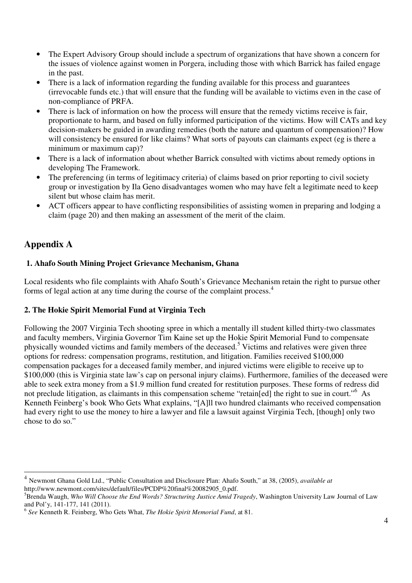- The Expert Advisory Group should include a spectrum of organizations that have shown a concern for the issues of violence against women in Porgera, including those with which Barrick has failed engage in the past.
- There is a lack of information regarding the funding available for this process and guarantees (irrevocable funds etc.) that will ensure that the funding will be available to victims even in the case of non-compliance of PRFA.
- There is lack of information on how the process will ensure that the remedy victims receive is fair, proportionate to harm, and based on fully informed participation of the victims. How will CATs and key decision-makers be guided in awarding remedies (both the nature and quantum of compensation)? How will consistency be ensured for like claims? What sorts of payouts can claimants expect (eg is there a minimum or maximum cap)?
- There is a lack of information about whether Barrick consulted with victims about remedy options in developing The Framework.
- The preferencing (in terms of legitimacy criteria) of claims based on prior reporting to civil society group or investigation by Ila Geno disadvantages women who may have felt a legitimate need to keep silent but whose claim has merit.
- ACT officers appear to have conflicting responsibilities of assisting women in preparing and lodging a claim (page 20) and then making an assessment of the merit of the claim.

# **Appendix A**

l

# **1. Ahafo South Mining Project Grievance Mechanism, Ghana**

Local residents who file complaints with Ahafo South's Grievance Mechanism retain the right to pursue other forms of legal action at any time during the course of the complaint process.<sup>4</sup>

# **2. The Hokie Spirit Memorial Fund at Virginia Tech**

Following the 2007 Virginia Tech shooting spree in which a mentally ill student killed thirty-two classmates and faculty members, Virginia Governor Tim Kaine set up the Hokie Spirit Memorial Fund to compensate physically wounded victims and family members of the deceased.<sup>5</sup> Victims and relatives were given three options for redress: compensation programs, restitution, and litigation. Families received \$100,000 compensation packages for a deceased family member, and injured victims were eligible to receive up to \$100,000 (this is Virginia state law's cap on personal injury claims). Furthermore, families of the deceased were able to seek extra money from a \$1.9 million fund created for restitution purposes. These forms of redress did not preclude litigation, as claimants in this compensation scheme "retain[ed] the right to sue in court."<sup>6</sup> As Kenneth Feinberg's book Who Gets What explains, "[A]ll two hundred claimants who received compensation had every right to use the money to hire a lawyer and file a lawsuit against Virginia Tech, [though] only two chose to do so."

<sup>4</sup> Newmont Ghana Gold Ltd., "Public Consultation and Disclosure Plan: Ahafo South," at 38, (2005), *available at*  http://www.newmont.com/sites/default/files/PCDP%20final%20082905\_0.pdf.

<sup>5</sup>Brenda Waugh, *Who Will Choose the End Words? Structuring Justice Amid Tragedy*, Washington University Law Journal of Law and Pol'y, 141-177, 141 (2011).

<sup>6</sup> *See* Kenneth R. Feinberg, Who Gets What, *The Hokie Spirit Memorial Fund*, at 81.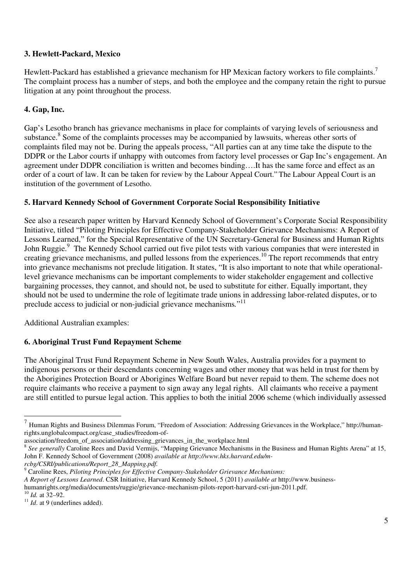### **3. Hewlett-Packard, Mexico**

Hewlett-Packard has established a grievance mechanism for HP Mexican factory workers to file complaints.<sup>7</sup> The complaint process has a number of steps, and both the employee and the company retain the right to pursue litigation at any point throughout the process.

### **4. Gap, Inc.**

Gap's Lesotho branch has grievance mechanisms in place for complaints of varying levels of seriousness and substance.<sup>8</sup> Some of the complaints processes may be accompanied by lawsuits, whereas other sorts of complaints filed may not be. During the appeals process, "All parties can at any time take the dispute to the DDPR or the Labor courts if unhappy with outcomes from factory level processes or Gap Inc's engagement. An agreement under DDPR conciliation is written and becomes binding….It has the same force and effect as an order of a court of law. It can be taken for review by the Labour Appeal Court." The Labour Appeal Court is an institution of the government of Lesotho.

#### **5. Harvard Kennedy School of Government Corporate Social Responsibility Initiative**

See also a research paper written by Harvard Kennedy School of Government's Corporate Social Responsibility Initiative, titled "Piloting Principles for Effective Company-Stakeholder Grievance Mechanisms: A Report of Lessons Learned," for the Special Representative of the UN Secretary-General for Business and Human Rights John Ruggie.<sup>9</sup> The Kennedy School carried out five pilot tests with various companies that were interested in creating grievance mechanisms, and pulled lessons from the experiences.<sup>10</sup> The report recommends that entry into grievance mechanisms not preclude litigation. It states, "It is also important to note that while operationallevel grievance mechanisms can be important complements to wider stakeholder engagement and collective bargaining processes, they cannot, and should not, be used to substitute for either. Equally important, they should not be used to undermine the role of legitimate trade unions in addressing labor-related disputes, or to preclude access to judicial or non-judicial grievance mechanisms*.*" 11

Additional Australian examples:

#### **6. Aboriginal Trust Fund Repayment Scheme**

The Aboriginal Trust Fund Repayment Scheme in New South Wales, Australia provides for a payment to indigenous persons or their descendants concerning wages and other money that was held in trust for them by the Aborigines Protection Board or Aborigines Welfare Board but never repaid to them. The scheme does not require claimants who receive a payment to sign away any legal rights. All claimants who receive a payment are still entitled to pursue legal action. This applies to both the initial 2006 scheme (which individually assessed

*rcbg/CSRI/publications/Report\_28\_Mapping.pdf.*

<sup>&</sup>lt;sup>7</sup> Human Rights and Business Dilemmas Forum, "Freedom of Association: Addressing Grievances in the Workplace," http://humanrights.unglobalcompact.org/case\_studies/freedom-of-

association/freedom\_of\_association/addressing\_grievances\_in\_the\_workplace.html

<sup>&</sup>lt;sup>8</sup> See generally Caroline Rees and David Vermijs, "Mapping Grievance Mechanisms in the Business and Human Rights Arena" at 15, John F. Kennedy School of Government (2008) *available at http://www.hks.harvard.edu/m-*

<sup>9</sup> Caroline Rees, *Piloting Principles for Effective Company-Stakeholder Grievance Mechanisms:* 

*A Report of Lessons Learned*. CSR Initiative, Harvard Kennedy School, 5 (2011) *available at* http://www.business-

humanrights.org/media/documents/ruggie/grievance-mechanism-pilots-report-harvard-csri-jun-2011.pdf.

<sup>10</sup> *Id.* at 32–92.

<sup>&</sup>lt;sup>11</sup> *Id.* at 9 (underlines added).